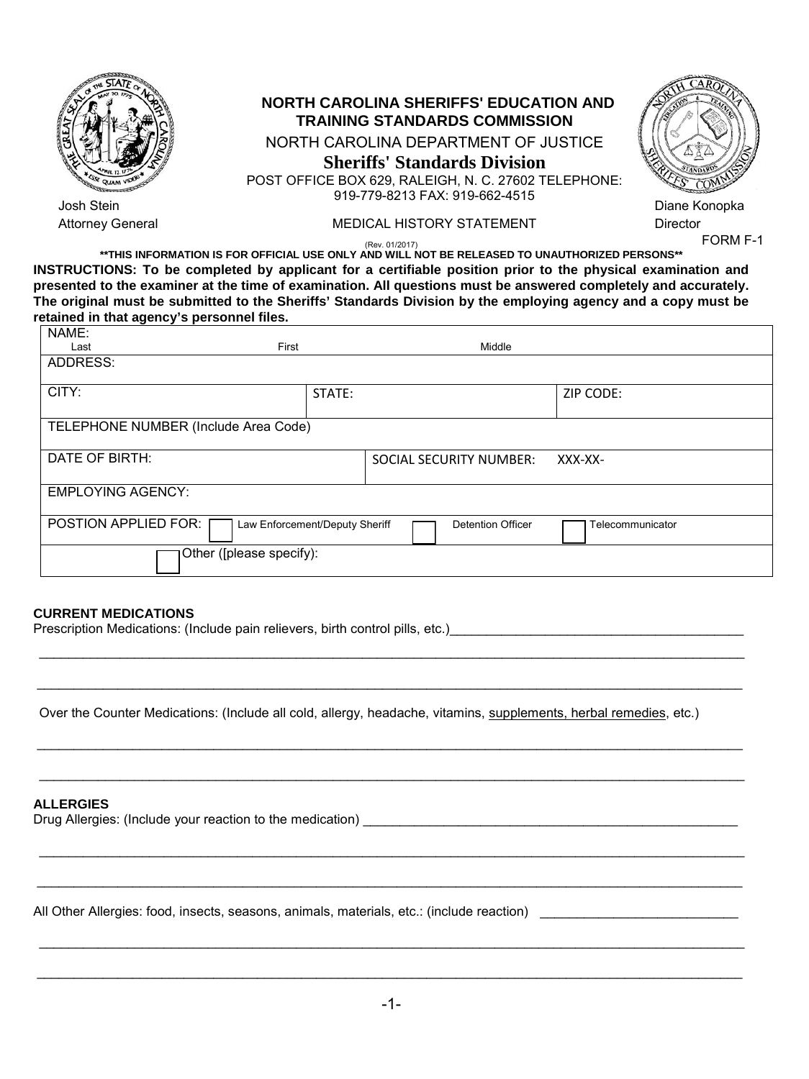

# **NORTH CAROLINA SHERIFFS' EDUCATION AND TRAINING STANDARDS COMMISSION**

### NORTH CAROLINA DEPARTMENT OF JUSTICE **Sheriffs' Standards Division**  POST OFFICE BOX 629, RALEIGH, N. C. 27602 TELEPHONE: 919-779-8213 FAX: 919-662-4515



Diane Konopka **Director** 

FORM F-1

(Rev. 01/2017) **\*\*THIS INFORMATION IS FOR OFFICIAL USE ONLY AND WILL NOT BE RELEASED TO UNAUTHORIZED PERSONS\*\* INSTRUCTIONS: To be completed by applicant for a certifiable position prior to the physical examination and presented to the examiner at the time of examination. All questions must be answered completely and accurately. The original must be submitted to the Sheriffs' Standards Division by the employing agency and a copy must be retained in that agency's personnel files.**

Attorney General **MEDICAL HISTORY STATEMENT** 

| NAME:                                                                                                  |                          |                         |           |  |  |  |
|--------------------------------------------------------------------------------------------------------|--------------------------|-------------------------|-----------|--|--|--|
| Last                                                                                                   | First                    | Middle                  |           |  |  |  |
| ADDRESS:                                                                                               |                          |                         |           |  |  |  |
| CITY:                                                                                                  | STATE:                   |                         | ZIP CODE: |  |  |  |
|                                                                                                        |                          |                         |           |  |  |  |
| TELEPHONE NUMBER (Include Area Code)                                                                   |                          |                         |           |  |  |  |
| DATE OF BIRTH:                                                                                         |                          | SOCIAL SECURITY NUMBER: | XXX-XX-   |  |  |  |
| <b>EMPLOYING AGENCY:</b>                                                                               |                          |                         |           |  |  |  |
| POSTION APPLIED FOR:<br>Law Enforcement/Deputy Sheriff<br><b>Detention Officer</b><br>Telecommunicator |                          |                         |           |  |  |  |
|                                                                                                        | Other ([please specify): |                         |           |  |  |  |

## **CURRENT MEDICATIONS**

Prescription Medications: (Include pain relievers, birth control pills, etc.)\_\_\_\_\_\_\_\_\_\_\_\_\_\_\_\_\_\_\_\_\_\_\_\_\_\_\_\_\_\_\_\_\_

Over the Counter Medications: (Include all cold, allergy, headache, vitamins, supplements, herbal remedies, etc.)

\_\_\_\_\_\_\_\_\_\_\_\_\_\_\_\_\_\_\_\_\_\_\_\_\_\_\_\_\_\_\_\_\_\_\_\_\_\_\_\_\_\_\_\_\_\_\_\_\_\_\_\_\_\_\_\_\_\_\_\_\_\_\_\_\_\_\_\_\_\_\_\_\_\_\_\_\_\_\_\_\_\_\_\_\_\_\_\_\_\_\_\_\_\_\_\_

\_\_\_\_\_\_\_\_\_\_\_\_\_\_\_\_\_\_\_\_\_\_\_\_\_\_\_\_\_\_\_\_\_\_\_\_\_\_\_\_\_\_\_\_\_\_\_\_\_\_\_\_\_\_\_\_\_\_\_\_\_\_\_\_\_\_\_\_\_\_\_\_\_\_\_\_\_\_\_\_\_\_\_\_\_\_\_\_\_\_\_\_\_\_\_\_

\_\_\_\_\_\_\_\_\_\_\_\_\_\_\_\_\_\_\_\_\_\_\_\_\_\_\_\_\_\_\_\_\_\_\_\_\_\_\_\_\_\_\_\_\_\_\_\_\_\_\_\_\_\_\_\_\_\_\_\_\_\_\_\_\_\_\_\_\_\_\_\_\_\_\_\_\_\_\_\_\_\_\_\_\_\_\_\_\_\_\_\_\_\_\_\_

\_\_\_\_\_\_\_\_\_\_\_\_\_\_\_\_\_\_\_\_\_\_\_\_\_\_\_\_\_\_\_\_\_\_\_\_\_\_\_\_\_\_\_\_\_\_\_\_\_\_\_\_\_\_\_\_\_\_\_\_\_\_\_\_\_\_\_\_\_\_\_\_\_\_\_\_\_\_\_\_\_\_\_\_\_\_\_\_\_\_\_\_\_\_\_\_

\_\_\_\_\_\_\_\_\_\_\_\_\_\_\_\_\_\_\_\_\_\_\_\_\_\_\_\_\_\_\_\_\_\_\_\_\_\_\_\_\_\_\_\_\_\_\_\_\_\_\_\_\_\_\_\_\_\_\_\_\_\_\_\_\_\_\_\_\_\_\_\_\_\_\_\_\_\_\_\_\_\_\_\_\_\_\_\_\_\_\_\_\_\_\_\_

\_\_\_\_\_\_\_\_\_\_\_\_\_\_\_\_\_\_\_\_\_\_\_\_\_\_\_\_\_\_\_\_\_\_\_\_\_\_\_\_\_\_\_\_\_\_\_\_\_\_\_\_\_\_\_\_\_\_\_\_\_\_\_\_\_\_\_\_\_\_\_\_\_\_\_\_\_\_\_\_\_\_\_\_\_\_\_\_\_\_\_\_\_\_\_\_

# **ALLERGIES**

|  | Drug Allergies: (Include your reaction to the medication) |  |
|--|-----------------------------------------------------------|--|
|  |                                                           |  |

All Other Allergies: food, insects, seasons, animals, materials, etc.: (include reaction) \_\_\_\_\_\_\_\_\_\_\_\_\_\_\_\_\_\_\_\_\_\_\_\_\_\_\_

\_\_\_\_\_\_\_\_\_\_\_\_\_\_\_\_\_\_\_\_\_\_\_\_\_\_\_\_\_\_\_\_\_\_\_\_\_\_\_\_\_\_\_\_\_\_\_\_\_\_\_\_\_\_\_\_\_\_\_\_\_\_\_\_\_\_\_\_\_\_\_\_\_\_\_\_\_\_\_\_\_\_\_\_\_\_\_\_\_\_\_\_\_\_\_\_

\_\_\_\_\_\_\_\_\_\_\_\_\_\_\_\_\_\_\_\_\_\_\_\_\_\_\_\_\_\_\_\_\_\_\_\_\_\_\_\_\_\_\_\_\_\_\_\_\_\_\_\_\_\_\_\_\_\_\_\_\_\_\_\_\_\_\_\_\_\_\_\_\_\_\_\_\_\_\_\_\_\_\_\_\_\_\_\_\_\_\_\_\_\_\_\_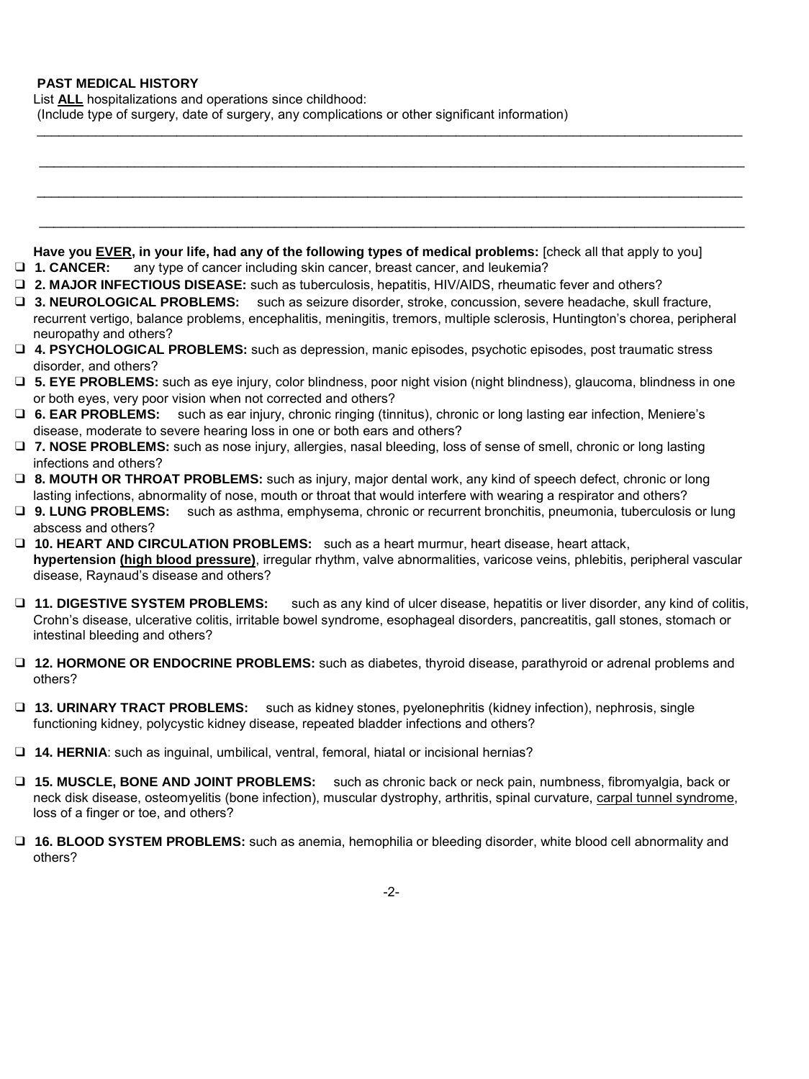### **PAST MEDICAL HISTORY**

List **ALL** hospitalizations and operations since childhood:

(Include type of surgery, date of surgery, any complications or other significant information)

| Have you EVER, in your life, had any of the following types of medical problems: [check all that apply to you]<br>any type of cancer including skin cancer, breast cancer, and leukemia?<br>□ 1. CANCER:                                                                                         |
|--------------------------------------------------------------------------------------------------------------------------------------------------------------------------------------------------------------------------------------------------------------------------------------------------|
| D 2. MAJOR INFECTIOUS DISEASE: such as tuberculosis, hepatitis, HIV/AIDS, rheumatic fever and others?                                                                                                                                                                                            |
| □ 3. NEUROLOGICAL PROBLEMS: such as seizure disorder, stroke, concussion, severe headache, skull fracture,<br>recurrent vertigo, balance problems, encephalitis, meningitis, tremors, multiple sclerosis, Huntington's chorea, peripheral<br>neuropathy and others?                              |
| □ 4. PSYCHOLOGICAL PROBLEMS: such as depression, manic episodes, psychotic episodes, post traumatic stress<br>disorder, and others?                                                                                                                                                              |
| □ 5. EYE PROBLEMS: such as eye injury, color blindness, poor night vision (night blindness), glaucoma, blindness in one<br>or both eyes, very poor vision when not corrected and others?                                                                                                         |
| <b>D</b> 6. EAR PROBLEMS:<br>such as ear injury, chronic ringing (tinnitus), chronic or long lasting ear infection, Meniere's<br>disease, moderate to severe hearing loss in one or both ears and others?                                                                                        |
| □ 7. NOSE PROBLEMS: such as nose injury, allergies, nasal bleeding, loss of sense of smell, chronic or long lasting<br>infections and others?                                                                                                                                                    |
| □ 8. MOUTH OR THROAT PROBLEMS: such as injury, major dental work, any kind of speech defect, chronic or long<br>lasting infections, abnormality of nose, mouth or throat that would interfere with wearing a respirator and others?                                                              |
| such as asthma, emphysema, chronic or recurrent bronchitis, pneumonia, tuberculosis or lung<br><b>U</b> 9. LUNG PROBLEMS:<br>abscess and others?                                                                                                                                                 |
| <b>D</b> 10. HEART AND CIRCULATION PROBLEMS: such as a heart murmur, heart disease, heart attack,<br>hypertension (high blood pressure), irregular rhythm, valve abnormalities, varicose veins, phlebitis, peripheral vascular<br>disease, Raynaud's disease and others?                         |
| <b>U 11. DIGESTIVE SYSTEM PROBLEMS:</b><br>such as any kind of ulcer disease, hepatitis or liver disorder, any kind of colitis,<br>Crohn's disease, ulcerative colitis, irritable bowel syndrome, esophageal disorders, pancreatitis, gall stones, stomach or<br>intestinal bleeding and others? |
| □ 12. HORMONE OR ENDOCRINE PROBLEMS: such as diabetes, thyroid disease, parathyroid or adrenal problems and<br>others?                                                                                                                                                                           |
| <b>U 13. URINARY TRACT PROBLEMS:</b><br>such as kidney stones, pyelonephritis (kidney infection), nephrosis, single<br>functioning kidney, polycystic kidney disease, repeated bladder infections and others?                                                                                    |
| 14. HERNIA: such as inguinal, umbilical, ventral, femoral, hiatal or incisional hernias?                                                                                                                                                                                                         |
| □ 15. MUSCLE, BONE AND JOINT PROBLEMS: such as chronic back or neck pain, numbness, fibromyalgia, back or<br>neck disk disease, osteomyelitis (bone infection), muscular dystrophy, arthritis, spinal curvature, carpal tunnel syndrome,<br>loss of a finger or toe, and others?                 |

\_\_\_\_\_\_\_\_\_\_\_\_\_\_\_\_\_\_\_\_\_\_\_\_\_\_\_\_\_\_\_\_\_\_\_\_\_\_\_\_\_\_\_\_\_\_\_\_\_\_\_\_\_\_\_\_\_\_\_\_\_\_\_\_\_\_\_\_\_\_\_\_\_\_\_\_\_\_\_\_\_\_\_\_\_\_\_\_\_\_\_\_\_\_\_\_

\_\_\_\_\_\_\_\_\_\_\_\_\_\_\_\_\_\_\_\_\_\_\_\_\_\_\_\_\_\_\_\_\_\_\_\_\_\_\_\_\_\_\_\_\_\_\_\_\_\_\_\_\_\_\_\_\_\_\_\_\_\_\_\_\_\_\_\_\_\_\_\_\_\_\_\_\_\_\_\_\_\_\_\_\_\_\_\_\_\_\_\_\_\_\_\_

\_\_\_\_\_\_\_\_\_\_\_\_\_\_\_\_\_\_\_\_\_\_\_\_\_\_\_\_\_\_\_\_\_\_\_\_\_\_\_\_\_\_\_\_\_\_\_\_\_\_\_\_\_\_\_\_\_\_\_\_\_\_\_\_\_\_\_\_\_\_\_\_\_\_\_\_\_\_\_\_\_\_\_\_\_\_\_\_\_\_\_\_\_\_\_\_

❑ **16. BLOOD SYSTEM PROBLEMS:** such as anemia, hemophilia or bleeding disorder, white blood cell abnormality and others?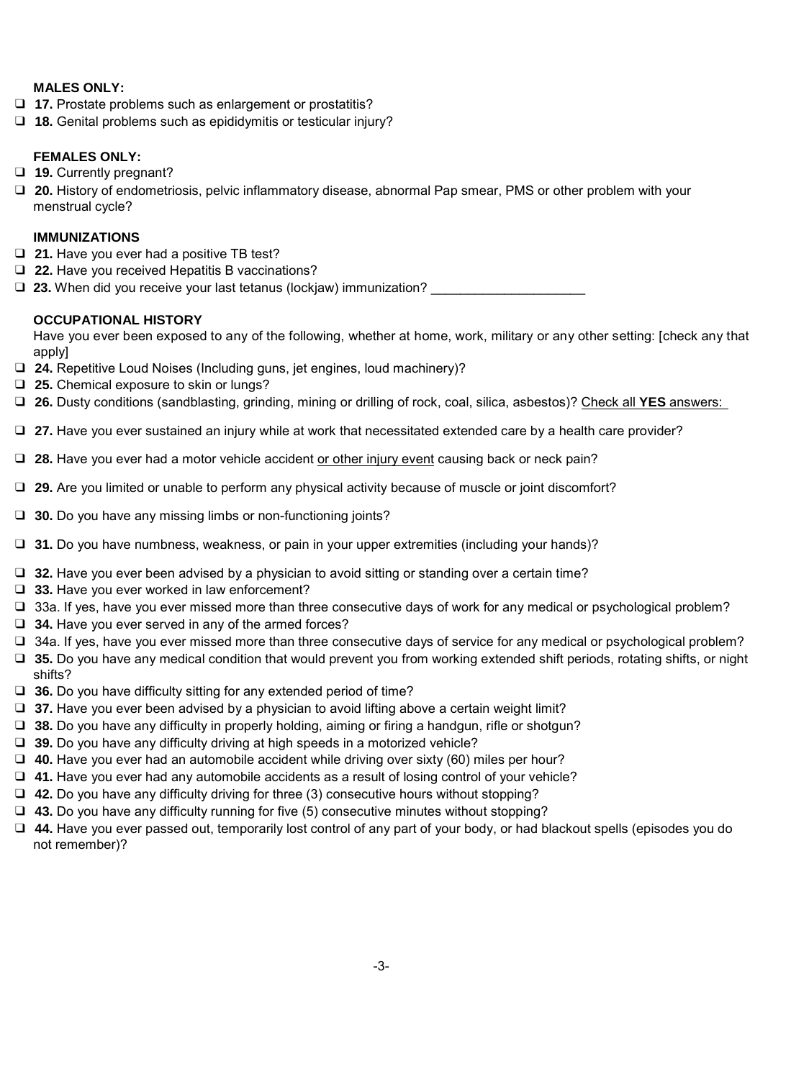### **MALES ONLY:**

- ❑ **17.** Prostate problems such as enlargement or prostatitis?
- ❑ **18.** Genital problems such as epididymitis or testicular injury?

### **FEMALES ONLY:**

- ❑ **19.** Currently pregnant?
- ❑ **20.** History of endometriosis, pelvic inflammatory disease, abnormal Pap smear, PMS or other problem with your menstrual cycle?

### **IMMUNIZATIONS**

- ❑ **21.** Have you ever had a positive TB test?
- ❑ **22.** Have you received Hepatitis B vaccinations?

□ 23. When did you receive your last tetanus (lockjaw) immunization?

### **OCCUPATIONAL HISTORY**

Have you ever been exposed to any of the following, whether at home, work, military or any other setting: [check any that apply]

- ❑ **24.** Repetitive Loud Noises (Including guns, jet engines, loud machinery)?
- ❑ **25.** Chemical exposure to skin or lungs?
- ❑ **26.** Dusty conditions (sandblasting, grinding, mining or drilling of rock, coal, silica, asbestos)? Check all **YES** answers:
- ❑ **27.** Have you ever sustained an injury while at work that necessitated extended care by a health care provider?
- □ 28. Have you ever had a motor vehicle accident or other injury event causing back or neck pain?
- ❑ **29.** Are you limited or unable to perform any physical activity because of muscle or joint discomfort?
- ❑ **30.** Do you have any missing limbs or non-functioning joints?
- ❑ **31.** Do you have numbness, weakness, or pain in your upper extremities (including your hands)?
- ❑ **32.** Have you ever been advised by a physician to avoid sitting or standing over a certain time?
- ❑ **33.** Have you ever worked in law enforcement?
- ❑ 33a. If yes, have you ever missed more than three consecutive days of work for any medical or psychological problem?
- ❑ **34.** Have you ever served in any of the armed forces?
- ❑ 34a. If yes, have you ever missed more than three consecutive days of service for any medical or psychological problem?
- ❑ **35.** Do you have any medical condition that would prevent you from working extended shift periods, rotating shifts, or night shifts?
- ❑ **36.** Do you have difficulty sitting for any extended period of time?
- ❑ **37.** Have you ever been advised by a physician to avoid lifting above a certain weight limit?
- ❑ **38.** Do you have any difficulty in properly holding, aiming or firing a handgun, rifle or shotgun?
- ❑ **39.** Do you have any difficulty driving at high speeds in a motorized vehicle?
- ❑ **40.** Have you ever had an automobile accident while driving over sixty (60) miles per hour?
- ❑ **41.** Have you ever had any automobile accidents as a result of losing control of your vehicle?
- ❑ **42.** Do you have any difficulty driving for three (3) consecutive hours without stopping?
- ❑ **43.** Do you have any difficulty running for five (5) consecutive minutes without stopping?
- ❑ **44.** Have you ever passed out, temporarily lost control of any part of your body, or had blackout spells (episodes you do not remember)?